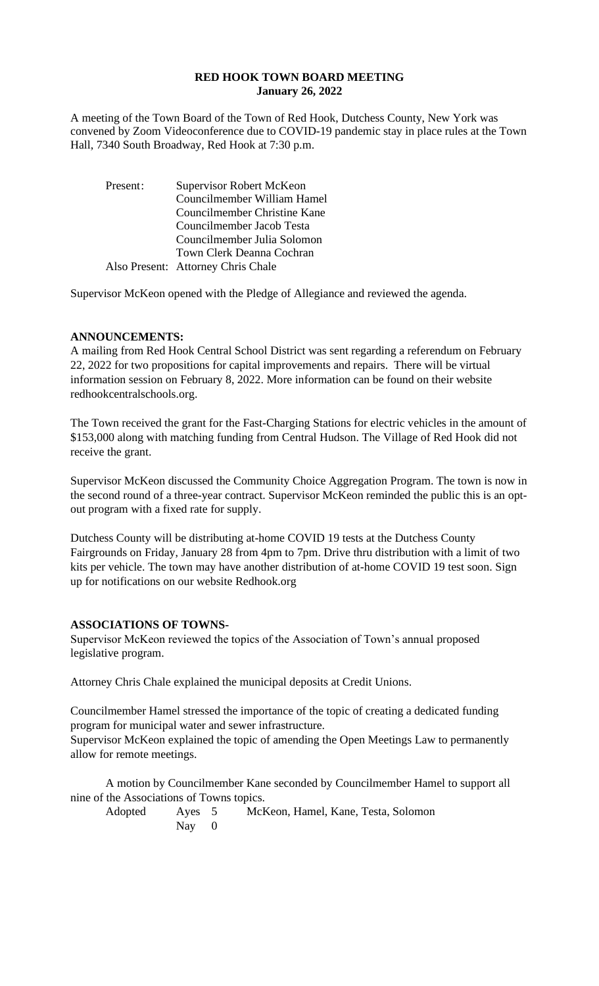## **RED HOOK TOWN BOARD MEETING January 26, 2022**

A meeting of the Town Board of the Town of Red Hook, Dutchess County, New York was convened by Zoom Videoconference due to COVID-19 pandemic stay in place rules at the Town Hall, 7340 South Broadway, Red Hook at 7:30 p.m.

| Present: | Supervisor Robert McKeon           |  |  |  |
|----------|------------------------------------|--|--|--|
|          | Councilmember William Hamel        |  |  |  |
|          | Councilmember Christine Kane       |  |  |  |
|          | Councilmember Jacob Testa          |  |  |  |
|          | Councilmember Julia Solomon        |  |  |  |
|          | Town Clerk Deanna Cochran          |  |  |  |
|          | Also Present: Attorney Chris Chale |  |  |  |

Supervisor McKeon opened with the Pledge of Allegiance and reviewed the agenda.

#### **ANNOUNCEMENTS:**

A mailing from Red Hook Central School District was sent regarding a referendum on February 22, 2022 for two propositions for capital improvements and repairs. There will be virtual information session on February 8, 2022. More information can be found on their website redhookcentralschools.org.

The Town received the grant for the Fast-Charging Stations for electric vehicles in the amount of \$153,000 along with matching funding from Central Hudson. The Village of Red Hook did not receive the grant.

Supervisor McKeon discussed the Community Choice Aggregation Program. The town is now in the second round of a three-year contract. Supervisor McKeon reminded the public this is an optout program with a fixed rate for supply.

Dutchess County will be distributing at-home COVID 19 tests at the Dutchess County Fairgrounds on Friday, January 28 from 4pm to 7pm. Drive thru distribution with a limit of two kits per vehicle. The town may have another distribution of at-home COVID 19 test soon. Sign up for notifications on our website Redhook.org

### **ASSOCIATIONS OF TOWNS-**

Supervisor McKeon reviewed the topics of the Association of Town's annual proposed legislative program.

Attorney Chris Chale explained the municipal deposits at Credit Unions.

Councilmember Hamel stressed the importance of the topic of creating a dedicated funding program for municipal water and sewer infrastructure.

Supervisor McKeon explained the topic of amending the Open Meetings Law to permanently allow for remote meetings.

A motion by Councilmember Kane seconded by Councilmember Hamel to support all nine of the Associations of Towns topics.

Adopted Ayes 5 McKeon, Hamel, Kane, Testa, Solomon Nay 0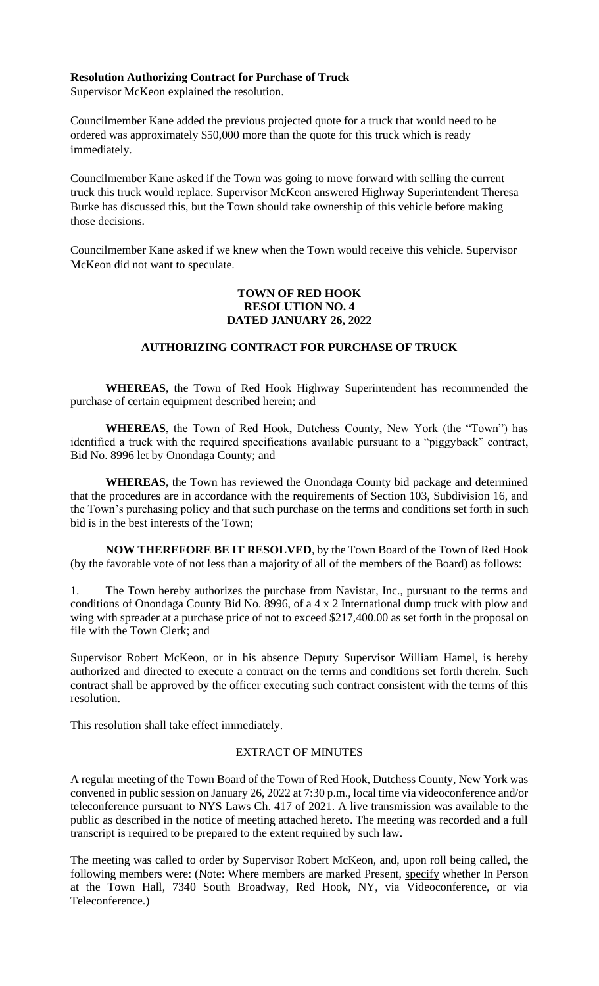## **Resolution Authorizing Contract for Purchase of Truck**

Supervisor McKeon explained the resolution.

Councilmember Kane added the previous projected quote for a truck that would need to be ordered was approximately \$50,000 more than the quote for this truck which is ready immediately.

Councilmember Kane asked if the Town was going to move forward with selling the current truck this truck would replace. Supervisor McKeon answered Highway Superintendent Theresa Burke has discussed this, but the Town should take ownership of this vehicle before making those decisions.

Councilmember Kane asked if we knew when the Town would receive this vehicle. Supervisor McKeon did not want to speculate.

# **TOWN OF RED HOOK RESOLUTION NO. 4 DATED JANUARY 26, 2022**

# **AUTHORIZING CONTRACT FOR PURCHASE OF TRUCK**

**WHEREAS**, the Town of Red Hook Highway Superintendent has recommended the purchase of certain equipment described herein; and

**WHEREAS**, the Town of Red Hook, Dutchess County, New York (the "Town") has identified a truck with the required specifications available pursuant to a "piggyback" contract, Bid No. 8996 let by Onondaga County; and

**WHEREAS**, the Town has reviewed the Onondaga County bid package and determined that the procedures are in accordance with the requirements of Section 103, Subdivision 16, and the Town's purchasing policy and that such purchase on the terms and conditions set forth in such bid is in the best interests of the Town;

**NOW THEREFORE BE IT RESOLVED**, by the Town Board of the Town of Red Hook (by the favorable vote of not less than a majority of all of the members of the Board) as follows:

1. The Town hereby authorizes the purchase from Navistar, Inc., pursuant to the terms and conditions of Onondaga County Bid No. 8996, of a 4 x 2 International dump truck with plow and wing with spreader at a purchase price of not to exceed \$217,400.00 as set forth in the proposal on file with the Town Clerk; and

Supervisor Robert McKeon, or in his absence Deputy Supervisor William Hamel, is hereby authorized and directed to execute a contract on the terms and conditions set forth therein. Such contract shall be approved by the officer executing such contract consistent with the terms of this resolution.

This resolution shall take effect immediately.

#### EXTRACT OF MINUTES

A regular meeting of the Town Board of the Town of Red Hook, Dutchess County, New York was convened in public session on January 26, 2022 at 7:30 p.m., local time via videoconference and/or teleconference pursuant to NYS Laws Ch. 417 of 2021. A live transmission was available to the public as described in the notice of meeting attached hereto. The meeting was recorded and a full transcript is required to be prepared to the extent required by such law.

The meeting was called to order by Supervisor Robert McKeon, and, upon roll being called, the following members were: (Note: Where members are marked Present, specify whether In Person at the Town Hall, 7340 South Broadway, Red Hook, NY, via Videoconference, or via Teleconference.)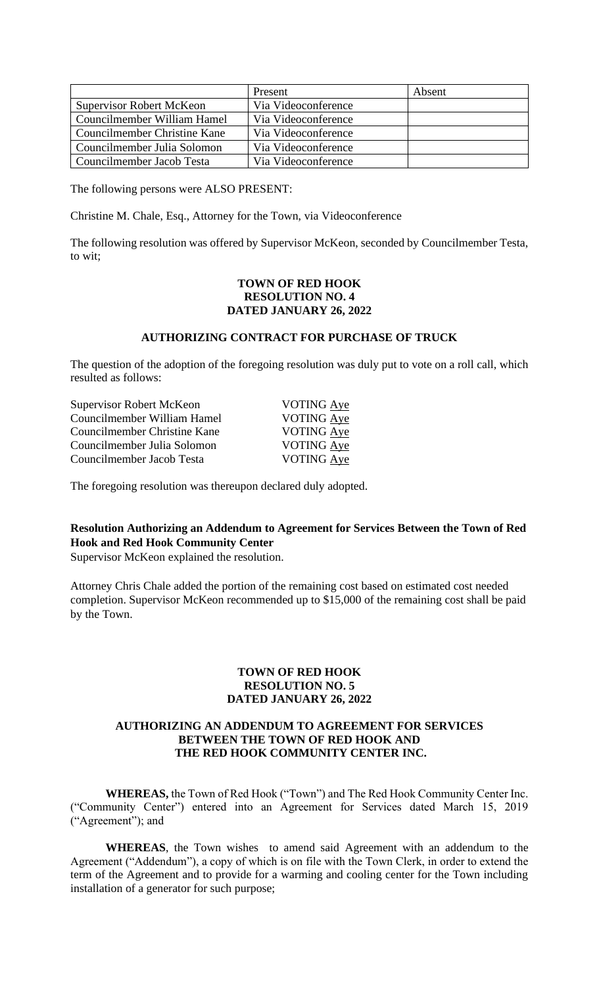|                                 | Present             | Absent |
|---------------------------------|---------------------|--------|
| <b>Supervisor Robert McKeon</b> | Via Videoconference |        |
| Councilmember William Hamel     | Via Videoconference |        |
| Councilmember Christine Kane    | Via Videoconference |        |
| Councilmember Julia Solomon     | Via Videoconference |        |
| Councilmember Jacob Testa       | Via Videoconference |        |

The following persons were ALSO PRESENT:

Christine M. Chale, Esq., Attorney for the Town, via Videoconference

The following resolution was offered by Supervisor McKeon, seconded by Councilmember Testa, to wit;

### **TOWN OF RED HOOK RESOLUTION NO. 4 DATED JANUARY 26, 2022**

# **AUTHORIZING CONTRACT FOR PURCHASE OF TRUCK**

The question of the adoption of the foregoing resolution was duly put to vote on a roll call, which resulted as follows:

| Supervisor Robert McKeon     | <b>VOTING</b> Aye |
|------------------------------|-------------------|
| Councilmember William Hamel  | <b>VOTING Aye</b> |
| Councilmember Christine Kane | VOTING Aye        |
| Councilmember Julia Solomon  | <b>VOTING Aye</b> |
| Councilmember Jacob Testa    | VOTING Aye        |

The foregoing resolution was thereupon declared duly adopted.

# **Resolution Authorizing an Addendum to Agreement for Services Between the Town of Red Hook and Red Hook Community Center**

Supervisor McKeon explained the resolution.

Attorney Chris Chale added the portion of the remaining cost based on estimated cost needed completion. Supervisor McKeon recommended up to \$15,000 of the remaining cost shall be paid by the Town.

### **TOWN OF RED HOOK RESOLUTION NO. 5 DATED JANUARY 26, 2022**

### **AUTHORIZING AN ADDENDUM TO AGREEMENT FOR SERVICES BETWEEN THE TOWN OF RED HOOK AND THE RED HOOK COMMUNITY CENTER INC.**

**WHEREAS,** the Town of Red Hook ("Town") and The Red Hook Community Center Inc. ("Community Center") entered into an Agreement for Services dated March 15, 2019 ("Agreement"); and

**WHEREAS**, the Town wishes to amend said Agreement with an addendum to the Agreement ("Addendum"), a copy of which is on file with the Town Clerk, in order to extend the term of the Agreement and to provide for a warming and cooling center for the Town including installation of a generator for such purpose;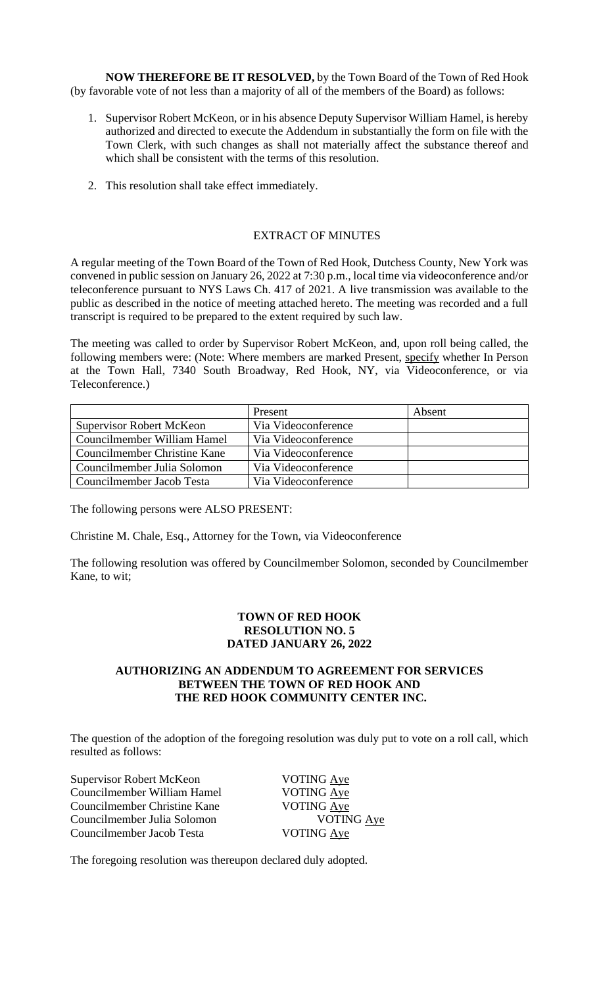**NOW THEREFORE BE IT RESOLVED,** by the Town Board of the Town of Red Hook (by favorable vote of not less than a majority of all of the members of the Board) as follows:

- 1. Supervisor Robert McKeon, or in his absence Deputy Supervisor William Hamel, is hereby authorized and directed to execute the Addendum in substantially the form on file with the Town Clerk, with such changes as shall not materially affect the substance thereof and which shall be consistent with the terms of this resolution.
- 2. This resolution shall take effect immediately.

### EXTRACT OF MINUTES

A regular meeting of the Town Board of the Town of Red Hook, Dutchess County, New York was convened in public session on January 26, 2022 at 7:30 p.m., local time via videoconference and/or teleconference pursuant to NYS Laws Ch. 417 of 2021. A live transmission was available to the public as described in the notice of meeting attached hereto. The meeting was recorded and a full transcript is required to be prepared to the extent required by such law.

The meeting was called to order by Supervisor Robert McKeon, and, upon roll being called, the following members were: (Note: Where members are marked Present, specify whether In Person at the Town Hall, 7340 South Broadway, Red Hook, NY, via Videoconference, or via Teleconference.)

|                                 | Present             | Absent |
|---------------------------------|---------------------|--------|
| <b>Supervisor Robert McKeon</b> | Via Videoconference |        |
| Councilmember William Hamel     | Via Videoconference |        |
| Councilmember Christine Kane    | Via Videoconference |        |
| Councilmember Julia Solomon     | Via Videoconference |        |
| Councilmember Jacob Testa       | Via Videoconference |        |

The following persons were ALSO PRESENT:

Christine M. Chale, Esq., Attorney for the Town, via Videoconference

The following resolution was offered by Councilmember Solomon, seconded by Councilmember Kane, to wit;

# **TOWN OF RED HOOK RESOLUTION NO. 5 DATED JANUARY 26, 2022**

# **AUTHORIZING AN ADDENDUM TO AGREEMENT FOR SERVICES BETWEEN THE TOWN OF RED HOOK AND THE RED HOOK COMMUNITY CENTER INC.**

The question of the adoption of the foregoing resolution was duly put to vote on a roll call, which resulted as follows:

Supervisor Robert McKeon VOTING Aye Councilmember William Hamel VOTING Aye Councilmember Christine Kane VOTING Aye Councilmember Julia Solomon VOTING Aye Councilmember Jacob Testa VOTING Aye

The foregoing resolution was thereupon declared duly adopted.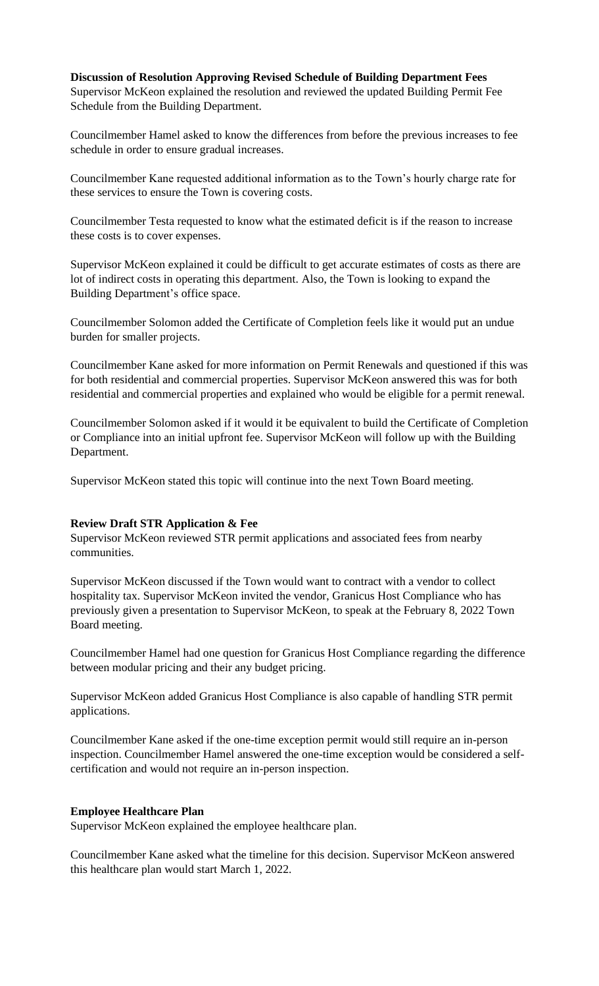**Discussion of Resolution Approving Revised Schedule of Building Department Fees** Supervisor McKeon explained the resolution and reviewed the updated Building Permit Fee Schedule from the Building Department.

Councilmember Hamel asked to know the differences from before the previous increases to fee schedule in order to ensure gradual increases.

Councilmember Kane requested additional information as to the Town's hourly charge rate for these services to ensure the Town is covering costs.

Councilmember Testa requested to know what the estimated deficit is if the reason to increase these costs is to cover expenses.

Supervisor McKeon explained it could be difficult to get accurate estimates of costs as there are lot of indirect costs in operating this department. Also, the Town is looking to expand the Building Department's office space.

Councilmember Solomon added the Certificate of Completion feels like it would put an undue burden for smaller projects.

Councilmember Kane asked for more information on Permit Renewals and questioned if this was for both residential and commercial properties. Supervisor McKeon answered this was for both residential and commercial properties and explained who would be eligible for a permit renewal.

Councilmember Solomon asked if it would it be equivalent to build the Certificate of Completion or Compliance into an initial upfront fee. Supervisor McKeon will follow up with the Building Department.

Supervisor McKeon stated this topic will continue into the next Town Board meeting.

#### **Review Draft STR Application & Fee**

Supervisor McKeon reviewed STR permit applications and associated fees from nearby communities.

Supervisor McKeon discussed if the Town would want to contract with a vendor to collect hospitality tax. Supervisor McKeon invited the vendor, Granicus Host Compliance who has previously given a presentation to Supervisor McKeon, to speak at the February 8, 2022 Town Board meeting.

Councilmember Hamel had one question for Granicus Host Compliance regarding the difference between modular pricing and their any budget pricing.

Supervisor McKeon added Granicus Host Compliance is also capable of handling STR permit applications.

Councilmember Kane asked if the one-time exception permit would still require an in-person inspection. Councilmember Hamel answered the one-time exception would be considered a selfcertification and would not require an in-person inspection.

### **Employee Healthcare Plan**

Supervisor McKeon explained the employee healthcare plan.

Councilmember Kane asked what the timeline for this decision. Supervisor McKeon answered this healthcare plan would start March 1, 2022.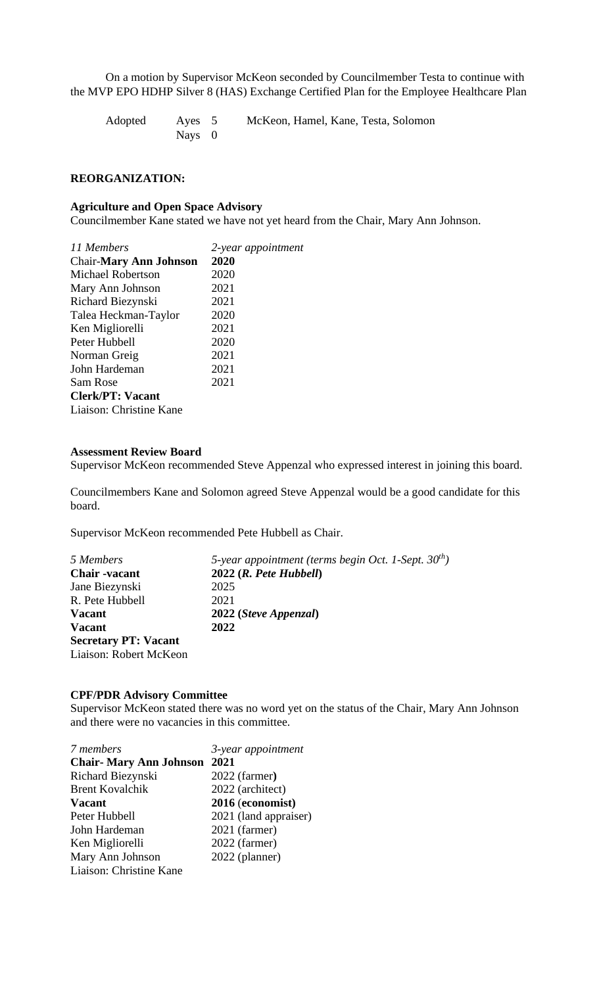On a motion by Supervisor McKeon seconded by Councilmember Testa to continue with the MVP EPO HDHP Silver 8 (HAS) Exchange Certified Plan for the Employee Healthcare Plan

Adopted Ayes 5 McKeon, Hamel, Kane, Testa, Solomon Nays 0

#### **REORGANIZATION:**

#### **Agriculture and Open Space Advisory**

Councilmember Kane stated we have not yet heard from the Chair, Mary Ann Johnson.

| 11 Members                    | 2-year appointment |
|-------------------------------|--------------------|
| <b>Chair-Mary Ann Johnson</b> | 2020               |
| <b>Michael Robertson</b>      | 2020               |
| Mary Ann Johnson              | 2021               |
| Richard Biezynski             | 2021               |
| Talea Heckman-Taylor          | 2020               |
| Ken Migliorelli               | 2021               |
| Peter Hubbell                 | 2020               |
| Norman Greig                  | 2021               |
| John Hardeman                 | 2021               |
| Sam Rose                      | 2021               |
| <b>Clerk/PT: Vacant</b>       |                    |
| Liaison: Christine Kane       |                    |

#### **Assessment Review Board**

Supervisor McKeon recommended Steve Appenzal who expressed interest in joining this board.

Councilmembers Kane and Solomon agreed Steve Appenzal would be a good candidate for this board.

Supervisor McKeon recommended Pete Hubbell as Chair.

| 5 Members                   | 5-year appointment (terms begin Oct. 1-Sept. $30^{th}$ ) |
|-----------------------------|----------------------------------------------------------|
| <b>Chair</b> -vacant        | $2022$ ( <i>R. Pete Hubbell</i> )                        |
| Jane Biezynski              | 2025                                                     |
| R. Pete Hubbell             | 2021                                                     |
| <b>Vacant</b>               | 2022 (Steve Appenzal)                                    |
| <b>Vacant</b>               | 2022                                                     |
| <b>Secretary PT: Vacant</b> |                                                          |
| Liaison: Robert McKeon      |                                                          |

### **CPF/PDR Advisory Committee**

Supervisor McKeon stated there was no word yet on the status of the Chair, Mary Ann Johnson and there were no vacancies in this committee.

| 7 members                          | 3-year appointment    |
|------------------------------------|-----------------------|
| <b>Chair-Mary Ann Johnson 2021</b> |                       |
| Richard Biezynski                  | 2022 (farmer)         |
| <b>Brent Kovalchik</b>             | 2022 (architect)      |
| <b>Vacant</b>                      | 2016 (economist)      |
| Peter Hubbell                      | 2021 (land appraiser) |
| John Hardeman                      | 2021 (farmer)         |
| Ken Migliorelli                    | 2022 (farmer)         |
| Mary Ann Johnson                   | 2022 (planner)        |
| Liaison: Christine Kane            |                       |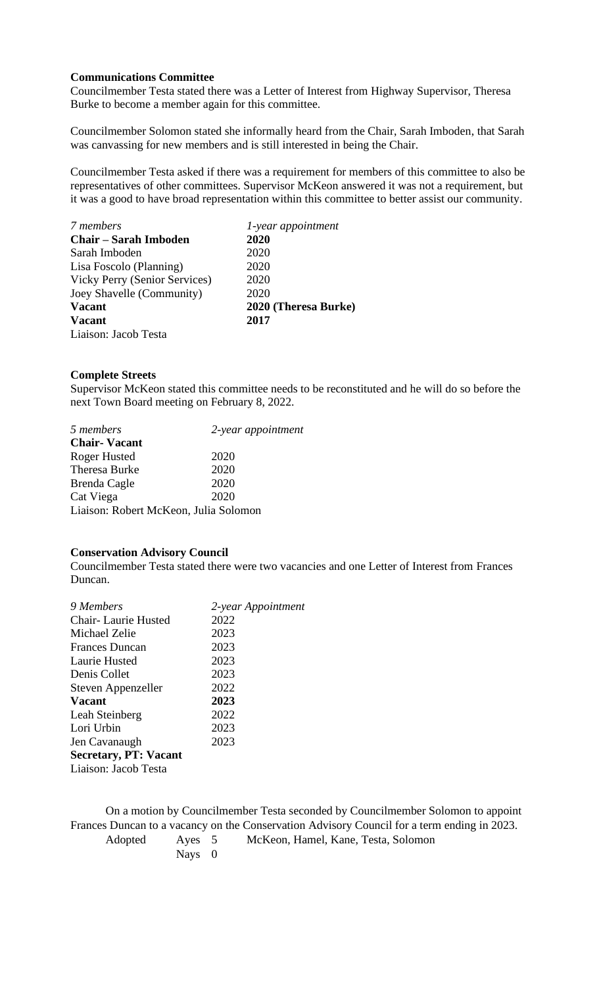### **Communications Committee**

Councilmember Testa stated there was a Letter of Interest from Highway Supervisor, Theresa Burke to become a member again for this committee.

Councilmember Solomon stated she informally heard from the Chair, Sarah Imboden, that Sarah was canvassing for new members and is still interested in being the Chair.

Councilmember Testa asked if there was a requirement for members of this committee to also be representatives of other committees. Supervisor McKeon answered it was not a requirement, but it was a good to have broad representation within this committee to better assist our community.

| 7 members                     | 1-year appointment   |
|-------------------------------|----------------------|
| <b>Chair – Sarah Imboden</b>  | 2020                 |
| Sarah Imboden                 | 2020                 |
| Lisa Foscolo (Planning)       | 2020                 |
| Vicky Perry (Senior Services) | 2020                 |
| Joey Shavelle (Community)     | 2020                 |
| <b>Vacant</b>                 | 2020 (Theresa Burke) |
| <b>Vacant</b>                 | 2017                 |
| Liaison: Jacob Testa          |                      |

#### **Complete Streets**

Supervisor McKeon stated this committee needs to be reconstituted and he will do so before the next Town Board meeting on February 8, 2022.

| 5 members                             | 2-year appointment |
|---------------------------------------|--------------------|
| <b>Chair-Vacant</b>                   |                    |
| Roger Husted                          | 2020               |
| <b>Theresa Burke</b>                  | 2020               |
| Brenda Cagle                          | 2020               |
| Cat Viega                             | 2020               |
| Liaison: Robert McKeon, Julia Solomon |                    |

### **Conservation Advisory Council**

Councilmember Testa stated there were two vacancies and one Letter of Interest from Frances Duncan.

| 9 Members                    | 2-year Appointment |
|------------------------------|--------------------|
| Chair-Laurie Husted          | 2022               |
| Michael Zelie                | 2023               |
| <b>Frances Duncan</b>        | 2023               |
| Laurie Husted                | 2023               |
| Denis Collet                 | 2023               |
| Steven Appenzeller           | 2022               |
| <b>Vacant</b>                | 2023               |
| Leah Steinberg               | 2022               |
| Lori Urbin                   | 2023               |
| Jen Cavanaugh                | 2023               |
| <b>Secretary, PT: Vacant</b> |                    |
| Liaison: Jacob Testa         |                    |
|                              |                    |

On a motion by Councilmember Testa seconded by Councilmember Solomon to appoint Frances Duncan to a vacancy on the Conservation Advisory Council for a term ending in 2023. Adopted Ayes 5 McKeon, Hamel, Kane, Testa, Solomon

Nays 0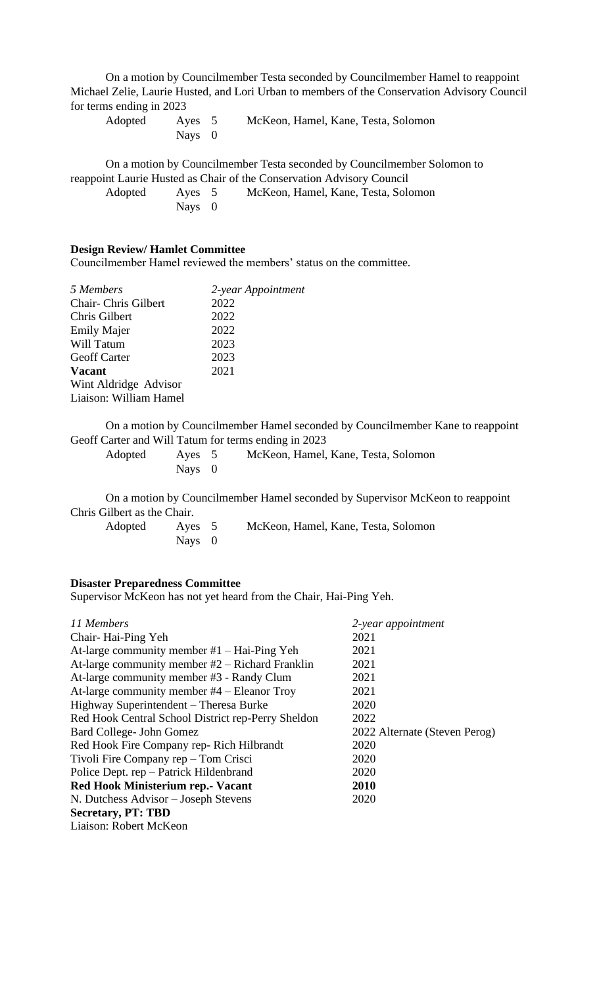On a motion by Councilmember Testa seconded by Councilmember Hamel to reappoint Michael Zelie, Laurie Husted, and Lori Urban to members of the Conservation Advisory Council for terms ending in 2023

| Adopted | Aves 5   | McKeon, Hamel, Kane, Testa, Solomon |  |  |
|---------|----------|-------------------------------------|--|--|
|         | Nays $0$ |                                     |  |  |

On a motion by Councilmember Testa seconded by Councilmember Solomon to reappoint Laurie Husted as Chair of the Conservation Advisory Council

| Adopted | Ayes 5 | McKeon, Hamel, Kane, Testa, Solomon |
|---------|--------|-------------------------------------|
|         | Nays 0 |                                     |

### **Design Review/ Hamlet Committee**

Councilmember Hamel reviewed the members' status on the committee.

| 5 Members              | 2-year Appointment |
|------------------------|--------------------|
| Chair-Chris Gilbert    | 2022               |
| Chris Gilbert          | 2022               |
| <b>Emily Majer</b>     | 2022               |
| Will Tatum             | 2023               |
| <b>Geoff Carter</b>    | 2023               |
| <b>Vacant</b>          | 2021               |
| Wint Aldridge Advisor  |                    |
| Liaison: William Hamel |                    |
|                        |                    |

On a motion by Councilmember Hamel seconded by Councilmember Kane to reappoint Geoff Carter and Will Tatum for terms ending in 2023

| Adopted | Ayes 5   | McKeon, Hamel, Kane, Testa, Solomon |  |  |
|---------|----------|-------------------------------------|--|--|
|         | Nays $0$ |                                     |  |  |

On a motion by Councilmember Hamel seconded by Supervisor McKeon to reappoint Chris Gilbert as the Chair.

| Adopted | Aves 5   | McKeon, Hamel, Kane, Testa, Solomon |
|---------|----------|-------------------------------------|
|         | Nays $0$ |                                     |

# **Disaster Preparedness Committee**

Supervisor McKeon has not yet heard from the Chair, Hai-Ping Yeh.

| 11 Members                                         | 2-year appointment            |
|----------------------------------------------------|-------------------------------|
| Chair-Hai-Ping Yeh                                 | 2021                          |
| At-large community member $#1$ – Hai-Ping Yeh      | 2021                          |
| At-large community member $#2$ – Richard Franklin  | 2021                          |
| At-large community member #3 - Randy Clum          | 2021                          |
| At-large community member $#4$ – Eleanor Troy      | 2021                          |
| Highway Superintendent – Theresa Burke             | 2020                          |
| Red Hook Central School District rep-Perry Sheldon | 2022                          |
| Bard College- John Gomez                           | 2022 Alternate (Steven Perog) |
| Red Hook Fire Company rep-Rich Hilbrandt           | 2020                          |
| Tivoli Fire Company rep – Tom Crisci               | 2020                          |
| Police Dept. rep - Patrick Hildenbrand             | 2020                          |
| Red Hook Ministerium rep. - Vacant                 | 2010                          |
| N. Dutchess Advisor – Joseph Stevens               | 2020                          |
| <b>Secretary, PT: TBD</b>                          |                               |
| Liaison: Robert McKeon                             |                               |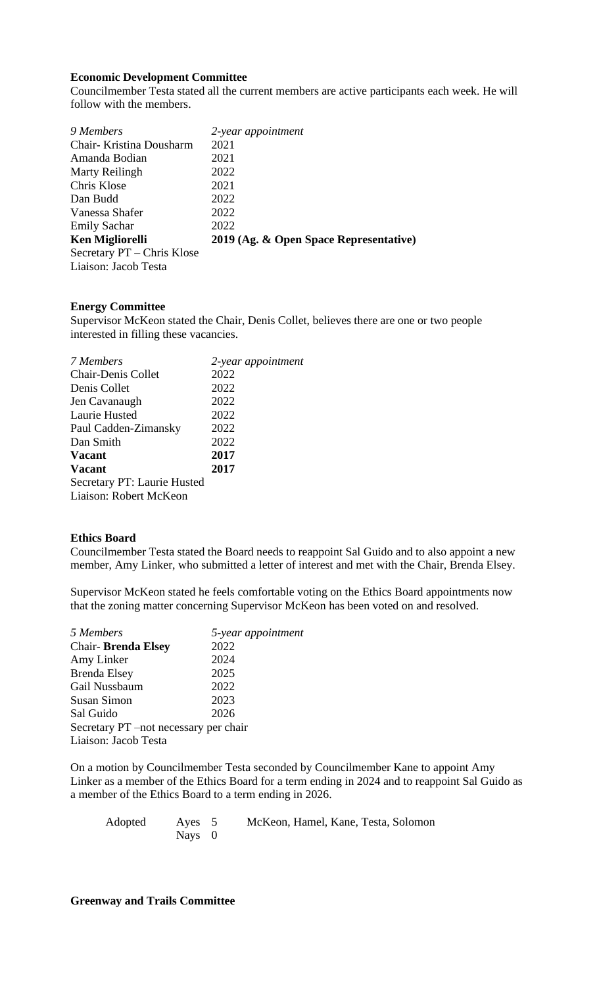### **Economic Development Committee**

Councilmember Testa stated all the current members are active participants each week. He will follow with the members.

| 9 Members                  | 2-year appointment                     |
|----------------------------|----------------------------------------|
| Chair-Kristina Dousharm    | 2021                                   |
| Amanda Bodian              | 2021                                   |
| Marty Reilingh             | 2022                                   |
| Chris Klose                | 2021                                   |
| Dan Budd                   | 2022                                   |
| Vanessa Shafer             | 2022                                   |
| <b>Emily Sachar</b>        | 2022                                   |
| <b>Ken Migliorelli</b>     | 2019 (Ag. & Open Space Representative) |
| Secretary PT - Chris Klose |                                        |
| Liaison: Jacob Testa       |                                        |

### **Energy Committee**

Supervisor McKeon stated the Chair, Denis Collet, believes there are one or two people interested in filling these vacancies.

| 7 Members                   | 2-year appointment |
|-----------------------------|--------------------|
| <b>Chair-Denis Collet</b>   | 2022               |
| Denis Collet                | 2022               |
| Jen Cavanaugh               | 2022               |
| Laurie Husted               | 2022               |
| Paul Cadden-Zimansky        | 2022               |
| Dan Smith                   | 2022               |
| <b>Vacant</b>               | 2017               |
| <b>Vacant</b>               | 2017               |
| Secretary PT: Laurie Husted |                    |
| Liaison: Robert McKeon      |                    |

### **Ethics Board**

Councilmember Testa stated the Board needs to reappoint Sal Guido and to also appoint a new member, Amy Linker, who submitted a letter of interest and met with the Chair, Brenda Elsey.

Supervisor McKeon stated he feels comfortable voting on the Ethics Board appointments now that the zoning matter concerning Supervisor McKeon has been voted on and resolved.

| 5 Members                             | 5-year appointment |
|---------------------------------------|--------------------|
| <b>Chair-Brenda Elsey</b>             | 2022               |
| Amy Linker                            | 2024               |
| <b>Brenda Elsey</b>                   | 2025               |
| Gail Nussbaum                         | 2022               |
| <b>Susan Simon</b>                    | 2023               |
| Sal Guido                             | 2026               |
| Secretary PT –not necessary per chair |                    |
| Liaison: Jacob Testa                  |                    |
|                                       |                    |

On a motion by Councilmember Testa seconded by Councilmember Kane to appoint Amy Linker as a member of the Ethics Board for a term ending in 2024 and to reappoint Sal Guido as a member of the Ethics Board to a term ending in 2026.

| Adopted | Ayes 5   | McKeon, Hamel, Kane, Testa, Solomon |
|---------|----------|-------------------------------------|
|         | Nays $0$ |                                     |

# **Greenway and Trails Committee**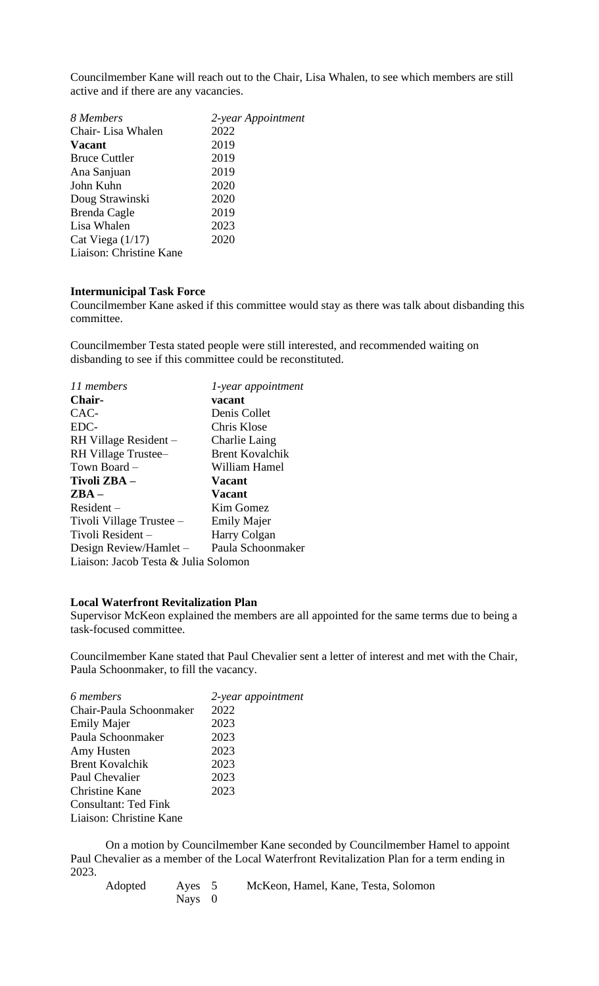Councilmember Kane will reach out to the Chair, Lisa Whalen, to see which members are still active and if there are any vacancies.

| 2-year Appointment |
|--------------------|
| 2022               |
| 2019               |
| 2019               |
| 2019               |
| 2020               |
| 2020               |
| 2019               |
| 2023               |
| 2020               |
|                    |
|                    |

#### **Intermunicipal Task Force**

Councilmember Kane asked if this committee would stay as there was talk about disbanding this committee.

Councilmember Testa stated people were still interested, and recommended waiting on disbanding to see if this committee could be reconstituted.

| 11 members                           | 1-year appointment     |
|--------------------------------------|------------------------|
| Chair-                               | vacant                 |
| CAC-                                 | Denis Collet           |
| EDC-                                 | Chris Klose            |
| RH Village Resident –                | Charlie Laing          |
| RH Village Trustee-                  | <b>Brent Kovalchik</b> |
| Town Board -                         | William Hamel          |
| Tivoli ZBA –                         | <b>Vacant</b>          |
| $\mathbf{ZBA} -$                     | <b>Vacant</b>          |
| $Resident -$                         | Kim Gomez              |
| Tivoli Village Trustee –             | <b>Emily Majer</b>     |
| Tivoli Resident -                    | Harry Colgan           |
| Design Review/Hamlet -               | Paula Schoonmaker      |
| Liaison: Jacob Testa & Julia Solomon |                        |

#### **Local Waterfront Revitalization Plan**

Supervisor McKeon explained the members are all appointed for the same terms due to being a task-focused committee.

Councilmember Kane stated that Paul Chevalier sent a letter of interest and met with the Chair, Paula Schoonmaker, to fill the vacancy.

| 6 members               | 2-year appointment |
|-------------------------|--------------------|
| Chair-Paula Schoonmaker | 2022               |
| <b>Emily Majer</b>      | 2023               |
| Paula Schoonmaker       | 2023               |
| Amy Husten              | 2023               |
| <b>Brent Kovalchik</b>  | 2023               |
| Paul Chevalier          | 2023               |
| <b>Christine Kane</b>   | 2023               |
| Consultant: Ted Fink    |                    |
| Liaison: Christine Kane |                    |

On a motion by Councilmember Kane seconded by Councilmember Hamel to appoint Paul Chevalier as a member of the Local Waterfront Revitalization Plan for a term ending in 2023.

Adopted Ayes 5 McKeon, Hamel, Kane, Testa, Solomon Nays 0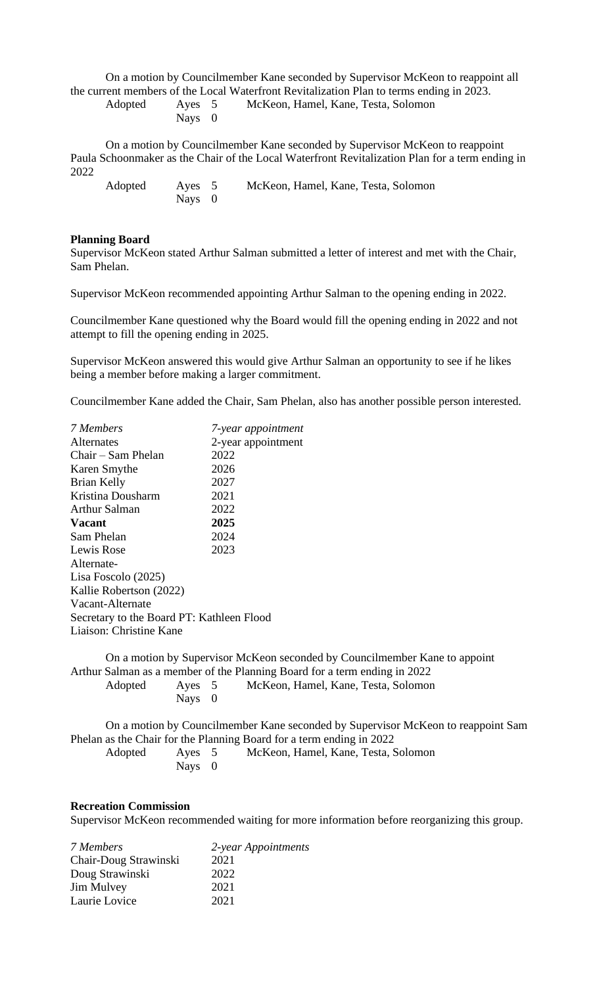On a motion by Councilmember Kane seconded by Supervisor McKeon to reappoint all the current members of the Local Waterfront Revitalization Plan to terms ending in 2023.

| Ayes        |   |
|-------------|---|
| <b>Nays</b> | 0 |

Adopted Ayes 5 McKeon, Hamel, Kane, Testa, Solomon

On a motion by Councilmember Kane seconded by Supervisor McKeon to reappoint Paula Schoonmaker as the Chair of the Local Waterfront Revitalization Plan for a term ending in 2022

| Adopted | Ayes 5 | McKeon, Hamel, Kane, Testa, Solomon |
|---------|--------|-------------------------------------|
|         | Nays 0 |                                     |

### **Planning Board**

Supervisor McKeon stated Arthur Salman submitted a letter of interest and met with the Chair, Sam Phelan.

Supervisor McKeon recommended appointing Arthur Salman to the opening ending in 2022.

Councilmember Kane questioned why the Board would fill the opening ending in 2022 and not attempt to fill the opening ending in 2025.

Supervisor McKeon answered this would give Arthur Salman an opportunity to see if he likes being a member before making a larger commitment.

Councilmember Kane added the Chair, Sam Phelan, also has another possible person interested.

| 7 Members                                 | 7-year appointment |
|-------------------------------------------|--------------------|
| Alternates                                | 2-year appointment |
| Chair – Sam Phelan                        | 2022               |
| Karen Smythe                              | 2026               |
| Brian Kelly                               | 2027               |
| Kristina Dousharm                         | 2021               |
| Arthur Salman                             | 2022               |
| <b>Vacant</b>                             | 2025               |
| Sam Phelan                                | 2024               |
| Lewis Rose                                | 2023               |
| Alternate-                                |                    |
| Lisa Foscolo $(2025)$                     |                    |
| Kallie Robertson (2022)                   |                    |
| Vacant-Alternate                          |                    |
| Secretary to the Board PT: Kathleen Flood |                    |
| Liaison: Christine Kane                   |                    |
|                                           |                    |

On a motion by Supervisor McKeon seconded by Councilmember Kane to appoint Arthur Salman as a member of the Planning Board for a term ending in 2022 Adopted Ayes 5 McKeon, Hamel, Kane, Testa, Solomon Nays 0

On a motion by Councilmember Kane seconded by Supervisor McKeon to reappoint Sam Phelan as the Chair for the Planning Board for a term ending in 2022 Adopted Ayes 5 McKeon, Hamel, Kane, Testa, Solomon Nays 0

#### **Recreation Commission**

Supervisor McKeon recommended waiting for more information before reorganizing this group.

| 2-year Appointments |
|---------------------|
| 2021                |
| 2022                |
| 2021                |
| 2021                |
|                     |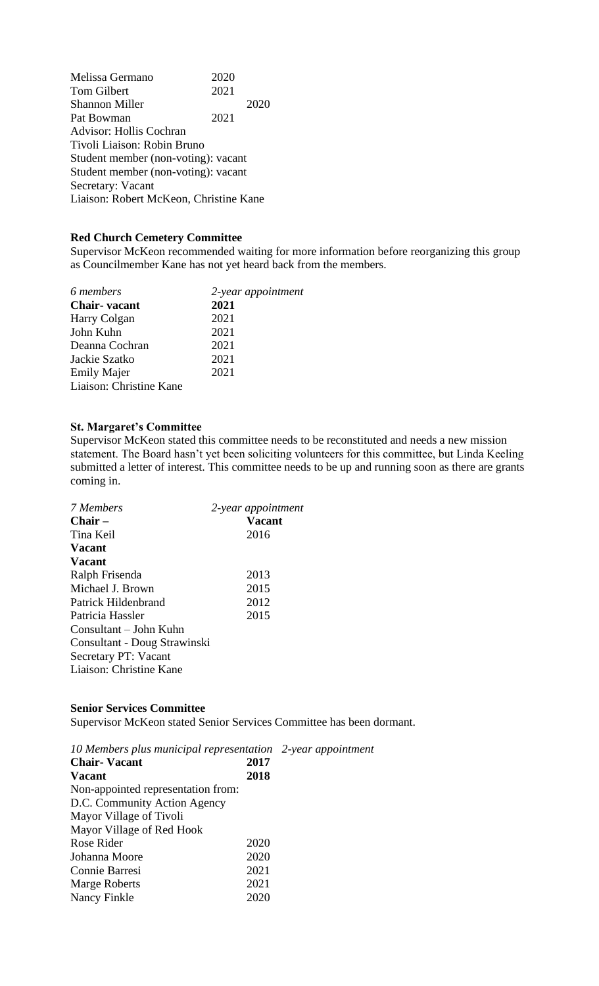Melissa Germano 2020<br>Tom Gilbert 2021 Tom Gilbert Shannon Miller 2020 Pat Bowman 2021 Advisor: Hollis Cochran Tivoli Liaison: Robin Bruno Student member (non-voting): vacant Student member (non-voting): vacant Secretary: Vacant Liaison: Robert McKeon, Christine Kane

#### **Red Church Cemetery Committee**

Supervisor McKeon recommended waiting for more information before reorganizing this group as Councilmember Kane has not yet heard back from the members.

| 6 members               | 2-year appointment |
|-------------------------|--------------------|
| <b>Chair-</b> vacant    | 2021               |
| Harry Colgan            | 2021               |
| John Kuhn               | 2021               |
| Deanna Cochran          | 2021               |
| Jackie Szatko           | 2021               |
| <b>Emily Majer</b>      | 2021               |
| Liaison: Christine Kane |                    |
|                         |                    |

#### **St. Margaret's Committee**

Supervisor McKeon stated this committee needs to be reconstituted and needs a new mission statement. The Board hasn't yet been soliciting volunteers for this committee, but Linda Keeling submitted a letter of interest. This committee needs to be up and running soon as there are grants coming in.

| 7 Members                    | 2-year appointment |
|------------------------------|--------------------|
| $Chair -$                    | <b>Vacant</b>      |
| Tina Keil                    | 2016               |
| <b>Vacant</b>                |                    |
| <b>Vacant</b>                |                    |
| Ralph Frisenda               | 2013               |
| Michael J. Brown             | 2015               |
| Patrick Hildenbrand          | 2012               |
| Patricia Hassler             | 2015               |
| Consultant – John Kuhn       |                    |
| Consultant - Doug Strawinski |                    |
| Secretary PT: Vacant         |                    |
| Liaison: Christine Kane      |                    |

#### **Senior Services Committee**

Supervisor McKeon stated Senior Services Committee has been dormant.

*10 Members plus municipal representation 2-year appointment* **Chair- Vacant 2017 Vacant 2018** Non-appointed representation from: D.C. Community Action Agency Mayor Village of Tivoli Mayor Village of Red Hook Rose Rider 2020 Johanna Moore 2020 Connie Barresi 2021 Marge Roberts 2021 Nancy Finkle 2020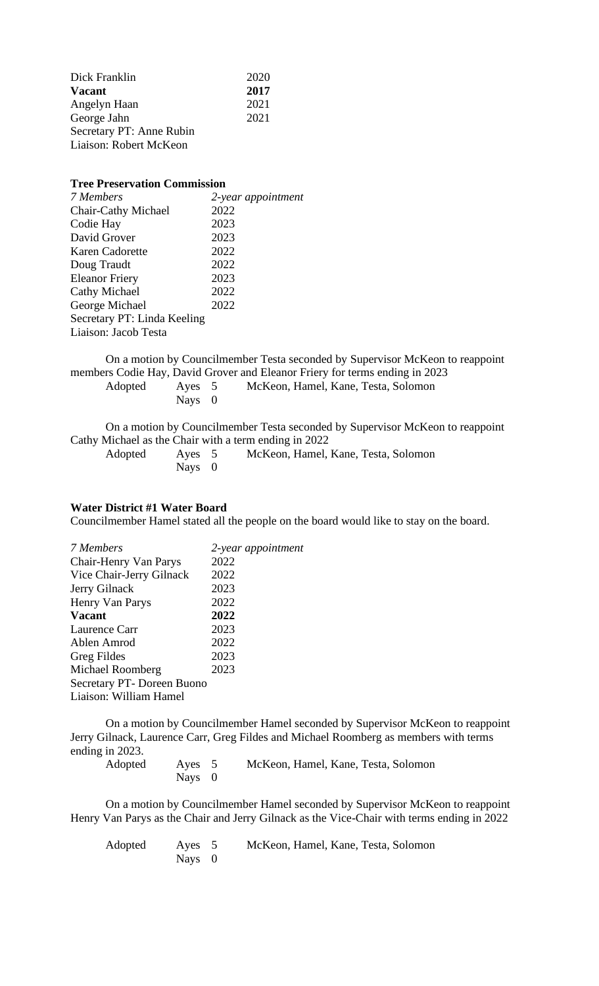| Dick Franklin            | 2020 |
|--------------------------|------|
| <b>Vacant</b>            | 2017 |
| Angelyn Haan             | 2021 |
| George Jahn              | 2021 |
| Secretary PT: Anne Rubin |      |
| Liaison: Robert McKeon   |      |

#### **Tree Preservation Commission**

| 7 Members                   | 2-year appointment |
|-----------------------------|--------------------|
| Chair-Cathy Michael         | 2022               |
| Codie Hay                   | 2023               |
| David Grover                | 2023               |
| Karen Cadorette             | 2022               |
| Doug Traudt                 | 2022               |
| <b>Eleanor Friery</b>       | 2023               |
| Cathy Michael               | 2022               |
| George Michael              | 2022               |
| Secretary PT: Linda Keeling |                    |
| Liaison: Jacob Testa        |                    |
|                             |                    |

On a motion by Councilmember Testa seconded by Supervisor McKeon to reappoint members Codie Hay, David Grover and Eleanor Friery for terms ending in 2023

Adopted Ayes 5 McKeon, Hamel, Kane, Testa, Solomon Ayes 5<br>Nays 0

On a motion by Councilmember Testa seconded by Supervisor McKeon to reappoint Cathy Michael as the Chair with a term ending in 2022

| Adopted | Aves 5   | McKeon, Hamel, Kane, Testa, Solomon |
|---------|----------|-------------------------------------|
|         | Nays $0$ |                                     |

### **Water District #1 Water Board**

Councilmember Hamel stated all the people on the board would like to stay on the board.

| 7 Members                         | 2-year appointment |
|-----------------------------------|--------------------|
| Chair-Henry Van Parys             | 2022               |
| Vice Chair-Jerry Gilnack          | 2022               |
| Jerry Gilnack                     | 2023               |
| Henry Van Parys                   | 2022               |
| <b>Vacant</b>                     | 2022               |
| Laurence Carr                     | 2023               |
| Ablen Amrod                       | 2022               |
| Greg Fildes                       | 2023               |
| Michael Roomberg                  | 2023               |
| <b>Secretary PT- Doreen Buono</b> |                    |
| Liaison: William Hamel            |                    |
|                                   |                    |

On a motion by Councilmember Hamel seconded by Supervisor McKeon to reappoint Jerry Gilnack, Laurence Carr, Greg Fildes and Michael Roomberg as members with terms ending in 2023.

| Adopted | Ayes 5 | McKeon, Hamel, Kane, Testa, Solomon |
|---------|--------|-------------------------------------|
|         | Nays 0 |                                     |

On a motion by Councilmember Hamel seconded by Supervisor McKeon to reappoint Henry Van Parys as the Chair and Jerry Gilnack as the Vice-Chair with terms ending in 2022

Adopted Ayes 5 McKeon, Hamel, Kane, Testa, Solomon Nays 0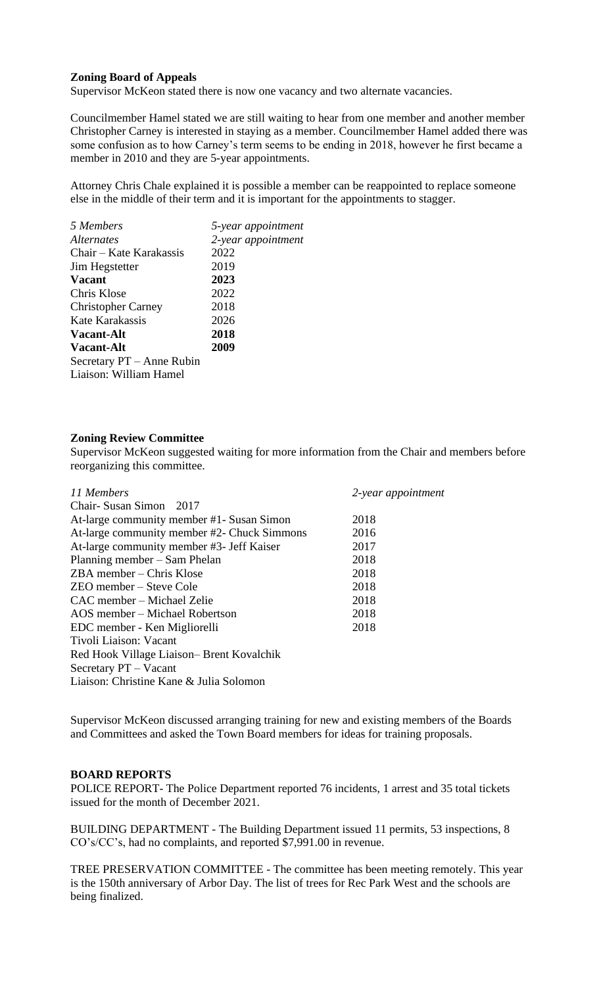### **Zoning Board of Appeals**

Supervisor McKeon stated there is now one vacancy and two alternate vacancies.

Councilmember Hamel stated we are still waiting to hear from one member and another member Christopher Carney is interested in staying as a member. Councilmember Hamel added there was some confusion as to how Carney's term seems to be ending in 2018, however he first became a member in 2010 and they are 5-year appointments.

Attorney Chris Chale explained it is possible a member can be reappointed to replace someone else in the middle of their term and it is important for the appointments to stagger.

| 5 Members                 | 5-year appointment |
|---------------------------|--------------------|
| <i>Alternates</i>         | 2-year appointment |
| Chair – Kate Karakassis   | 2022               |
| Jim Hegstetter            | 2019               |
| <b>Vacant</b>             | 2023               |
| Chris Klose               | 2022               |
| <b>Christopher Carney</b> | 2018               |
| Kate Karakassis           | 2026               |
| <b>Vacant-Alt</b>         | 2018               |
| <b>Vacant-Alt</b>         | 2009               |
| Secretary PT – Anne Rubin |                    |
| Liaison: William Hamel    |                    |
|                           |                    |

#### **Zoning Review Committee**

Supervisor McKeon suggested waiting for more information from the Chair and members before reorganizing this committee.

| 11 Members                                  | 2-year appointment |
|---------------------------------------------|--------------------|
| Chair-Susan Simon 2017                      |                    |
| At-large community member #1- Susan Simon   | 2018               |
| At-large community member #2- Chuck Simmons | 2016               |
| At-large community member #3- Jeff Kaiser   | 2017               |
| Planning member – Sam Phelan                | 2018               |
| ZBA member - Chris Klose                    | 2018               |
| ZEO member – Steve Cole                     | 2018               |
| CAC member – Michael Zelie                  | 2018               |
| AOS member – Michael Robertson              | 2018               |
| EDC member - Ken Migliorelli                | 2018               |
| Tivoli Liaison: Vacant                      |                    |
| Red Hook Village Liaison-Brent Kovalchik    |                    |
| Secretary PT – Vacant                       |                    |
| Liaison: Christine Kane & Julia Solomon     |                    |

Supervisor McKeon discussed arranging training for new and existing members of the Boards and Committees and asked the Town Board members for ideas for training proposals.

#### **BOARD REPORTS**

POLICE REPORT- The Police Department reported 76 incidents, 1 arrest and 35 total tickets issued for the month of December 2021.

BUILDING DEPARTMENT - The Building Department issued 11 permits, 53 inspections, 8 CO's/CC's, had no complaints, and reported \$7,991.00 in revenue.

TREE PRESERVATION COMMITTEE - The committee has been meeting remotely. This year is the 150th anniversary of Arbor Day. The list of trees for Rec Park West and the schools are being finalized.